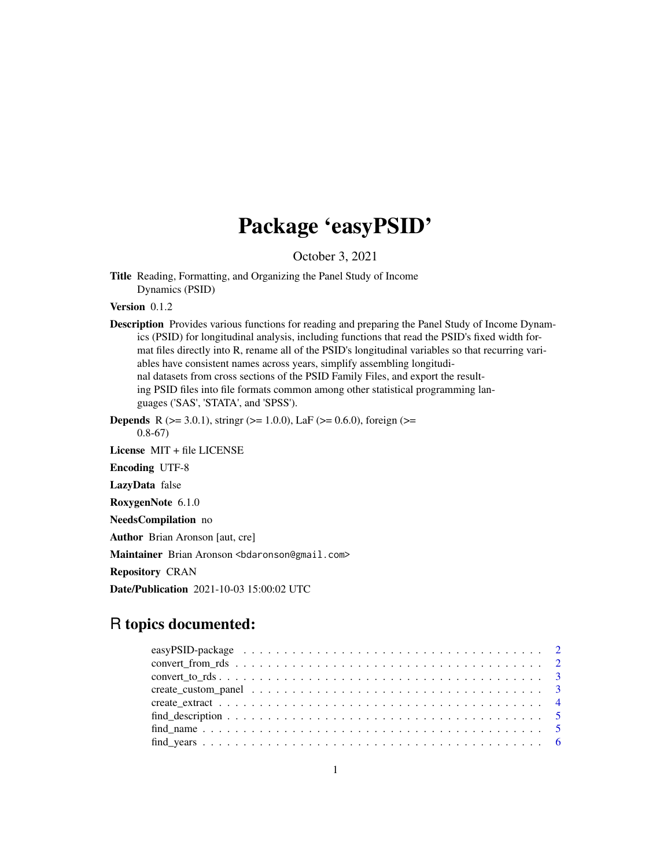## Package 'easyPSID'

October 3, 2021

Title Reading, Formatting, and Organizing the Panel Study of Income Dynamics (PSID)

Version 0.1.2

Description Provides various functions for reading and preparing the Panel Study of Income Dynamics (PSID) for longitudinal analysis, including functions that read the PSID's fixed width format files directly into R, rename all of the PSID's longitudinal variables so that recurring variables have consistent names across years, simplify assembling longitudinal datasets from cross sections of the PSID Family Files, and export the resulting PSID files into file formats common among other statistical programming languages ('SAS', 'STATA', and 'SPSS').

**Depends** R ( $>= 3.0.1$ ), stringr ( $>= 1.0.0$ ), LaF ( $>= 0.6.0$ ), foreign ( $>=$ 0.8-67)

License MIT + file LICENSE

Encoding UTF-8

LazyData false

RoxygenNote 6.1.0

NeedsCompilation no

Author Brian Aronson [aut, cre]

Maintainer Brian Aronson <br/>bdaronson@gmail.com>

Repository CRAN

Date/Publication 2021-10-03 15:00:02 UTC

### R topics documented:

| $find\_description \ldots \ldots \ldots \ldots \ldots \ldots \ldots \ldots \ldots \ldots \ldots \ldots \ldots 5$ |  |
|------------------------------------------------------------------------------------------------------------------|--|
|                                                                                                                  |  |
|                                                                                                                  |  |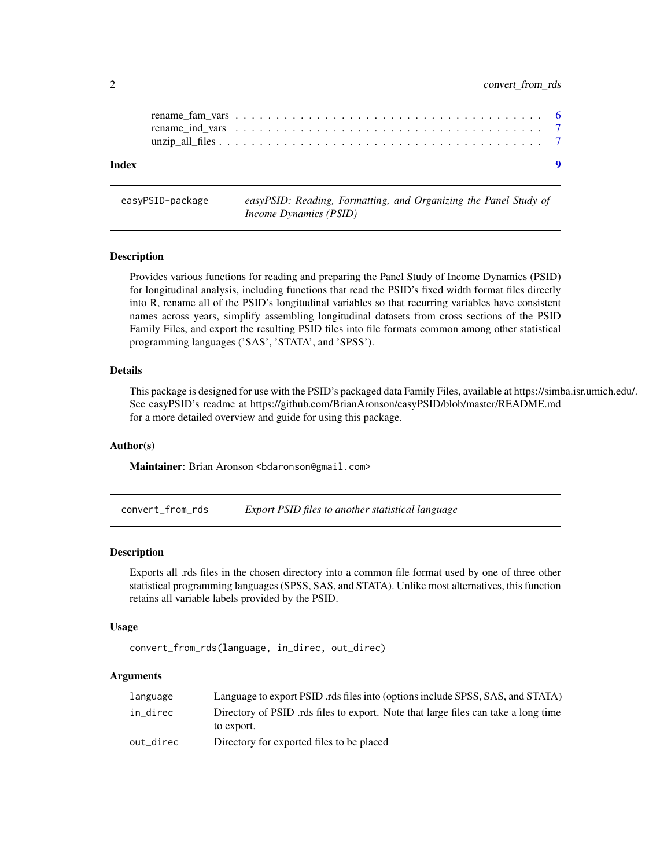<span id="page-1-0"></span>

| Index |  |  |  |  |  |  |  |  |  |  |  |  |  |  | $\bullet$ |
|-------|--|--|--|--|--|--|--|--|--|--|--|--|--|--|-----------|
|       |  |  |  |  |  |  |  |  |  |  |  |  |  |  |           |
|       |  |  |  |  |  |  |  |  |  |  |  |  |  |  |           |

easyPSID-package *easyPSID: Reading, Formatting, and Organizing the Panel Study of Income Dynamics (PSID)*

#### Description

Provides various functions for reading and preparing the Panel Study of Income Dynamics (PSID) for longitudinal analysis, including functions that read the PSID's fixed width format files directly into R, rename all of the PSID's longitudinal variables so that recurring variables have consistent names across years, simplify assembling longitudinal datasets from cross sections of the PSID Family Files, and export the resulting PSID files into file formats common among other statistical programming languages ('SAS', 'STATA', and 'SPSS').

#### Details

This package is designed for use with the PSID's packaged data Family Files, available at https://simba.isr.umich.edu/. See easyPSID's readme at https://github.com/BrianAronson/easyPSID/blob/master/README.md for a more detailed overview and guide for using this package.

#### Author(s)

Maintainer: Brian Aronson <br/>bdaronson@gmail.com>

convert\_from\_rds *Export PSID files to another statistical language*

#### Description

Exports all .rds files in the chosen directory into a common file format used by one of three other statistical programming languages (SPSS, SAS, and STATA). Unlike most alternatives, this function retains all variable labels provided by the PSID.

#### Usage

convert\_from\_rds(language, in\_direc, out\_direc)

#### Arguments

| language  | Language to export PSID rds files into (options include SPSS, SAS, and STATA)     |
|-----------|-----------------------------------------------------------------------------------|
| in direc  | Directory of PSID rds files to export. Note that large files can take a long time |
|           | to export.                                                                        |
| out direc | Directory for exported files to be placed                                         |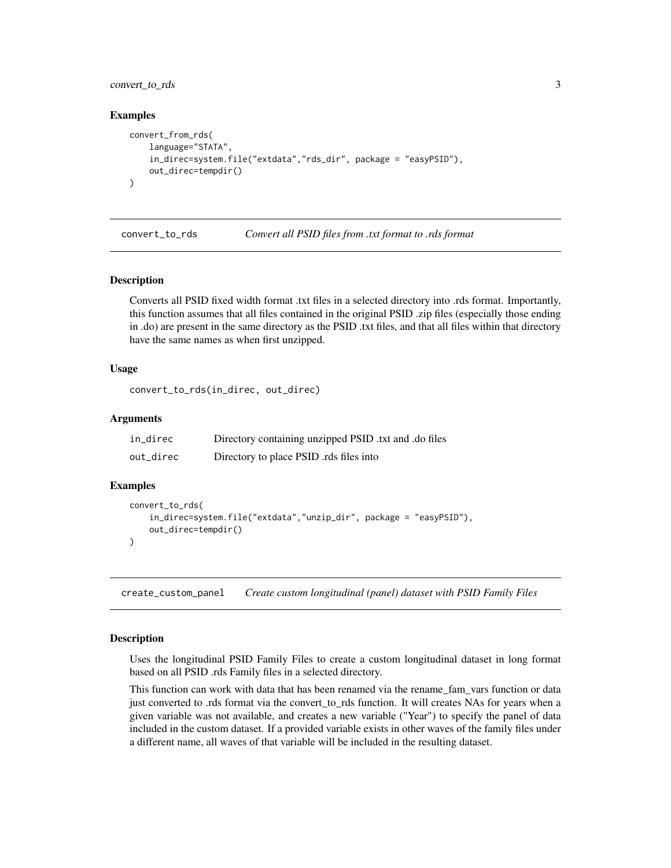<span id="page-2-0"></span>convert\_to\_rds 3

#### Examples

```
convert_from_rds(
    language="STATA",
    in_direc=system.file("extdata","rds_dir", package = "easyPSID"),
    out_direc=tempdir()
\mathcal{L}
```
convert\_to\_rds *Convert all PSID files from .txt format to .rds format*

#### Description

Converts all PSID fixed width format .txt files in a selected directory into .rds format. Importantly, this function assumes that all files contained in the original PSID .zip files (especially those ending in .do) are present in the same directory as the PSID .txt files, and that all files within that directory have the same names as when first unzipped.

#### Usage

convert\_to\_rds(in\_direc, out\_direc)

#### Arguments

| in_direc  | Directory containing unzipped PSID txt and .do files |
|-----------|------------------------------------------------------|
| out_direc | Directory to place PSID rds files into               |

#### Examples

```
convert_to_rds(
    in_direc=system.file("extdata","unzip_dir", package = "easyPSID"),
    out_direc=tempdir()
)
```
create\_custom\_panel *Create custom longitudinal (panel) dataset with PSID Family Files*

#### Description

Uses the longitudinal PSID Family Files to create a custom longitudinal dataset in long format based on all PSID .rds Family files in a selected directory.

This function can work with data that has been renamed via the rename\_fam\_vars function or data just converted to .rds format via the convert to rds function. It will creates NAs for years when a given variable was not available, and creates a new variable ("Year") to specify the panel of data included in the custom dataset. If a provided variable exists in other waves of the family files under a different name, all waves of that variable will be included in the resulting dataset.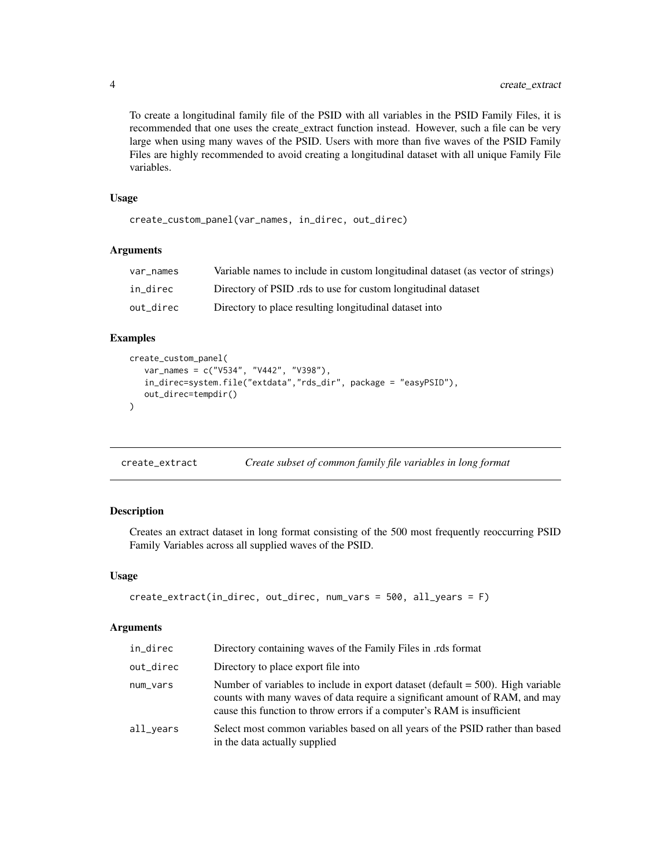To create a longitudinal family file of the PSID with all variables in the PSID Family Files, it is recommended that one uses the create\_extract function instead. However, such a file can be very large when using many waves of the PSID. Users with more than five waves of the PSID Family Files are highly recommended to avoid creating a longitudinal dataset with all unique Family File variables.

#### Usage

```
create_custom_panel(var_names, in_direc, out_direc)
```
#### Arguments

| var names | Variable names to include in custom longitudinal dataset (as vector of strings) |
|-----------|---------------------------------------------------------------------------------|
| in direc  | Directory of PSID rds to use for custom longitudinal dataset                    |
| out_direc | Directory to place resulting longitudinal dataset into                          |

#### Examples

```
create_custom_panel(
   var_names = c("V534", "V442", "V398"),
   in_direc=system.file("extdata","rds_dir", package = "easyPSID"),
   out_direc=tempdir()
\mathcal{L}
```

```
create_extract Create subset of common family file variables in long format
```
#### Description

Creates an extract dataset in long format consisting of the 500 most frequently reoccurring PSID Family Variables across all supplied waves of the PSID.

#### Usage

```
create_extract(in_direc, out_direc, num_vars = 500, all_years = F)
```
#### Arguments

| in_direc  | Directory containing waves of the Family Files in .rds format                                                                                                                                                                               |
|-----------|---------------------------------------------------------------------------------------------------------------------------------------------------------------------------------------------------------------------------------------------|
| out_direc | Directory to place export file into                                                                                                                                                                                                         |
| num_vars  | Number of variables to include in export dataset (default $=$ 500). High variable<br>counts with many waves of data require a significant amount of RAM, and may<br>cause this function to throw errors if a computer's RAM is insufficient |
| all_years | Select most common variables based on all years of the PSID rather than based<br>in the data actually supplied                                                                                                                              |

<span id="page-3-0"></span>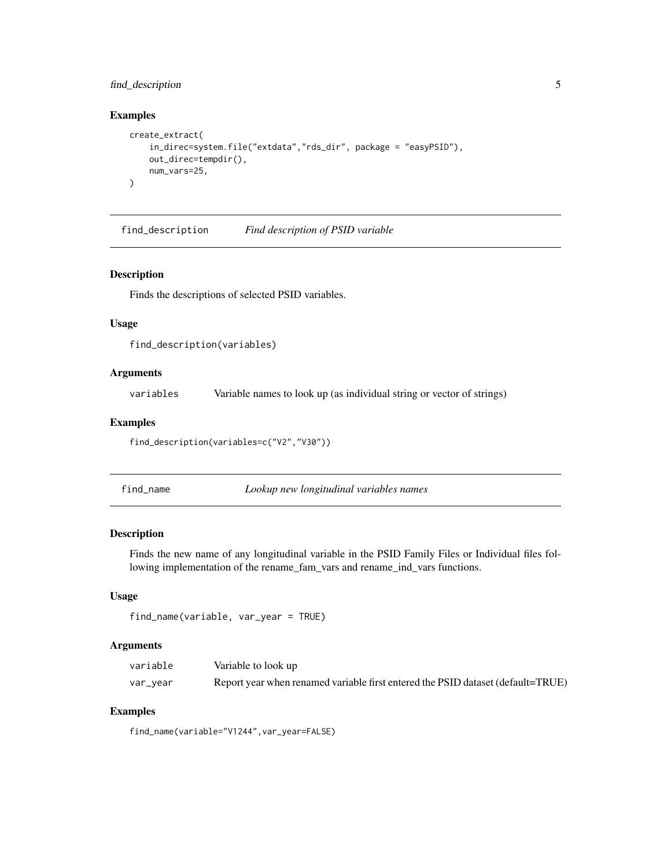#### <span id="page-4-0"></span>find\_description 5

#### Examples

```
create_extract(
    in_direc=system.file("extdata","rds_dir", package = "easyPSID"),
    out_direc=tempdir(),
    num_vars=25,
\mathcal{L}
```
find\_description *Find description of PSID variable*

#### Description

Finds the descriptions of selected PSID variables.

#### Usage

```
find_description(variables)
```
#### Arguments

variables Variable names to look up (as individual string or vector of strings)

#### Examples

find\_description(variables=c("V2","V30"))

find\_name *Lookup new longitudinal variables names*

#### Description

Finds the new name of any longitudinal variable in the PSID Family Files or Individual files following implementation of the rename\_fam\_vars and rename\_ind\_vars functions.

#### Usage

```
find_name(variable, var_year = TRUE)
```
#### Arguments

| variable | Variable to look up                                                             |
|----------|---------------------------------------------------------------------------------|
| var_year | Report year when renamed variable first entered the PSID dataset (default=TRUE) |

#### Examples

find\_name(variable="V1244",var\_year=FALSE)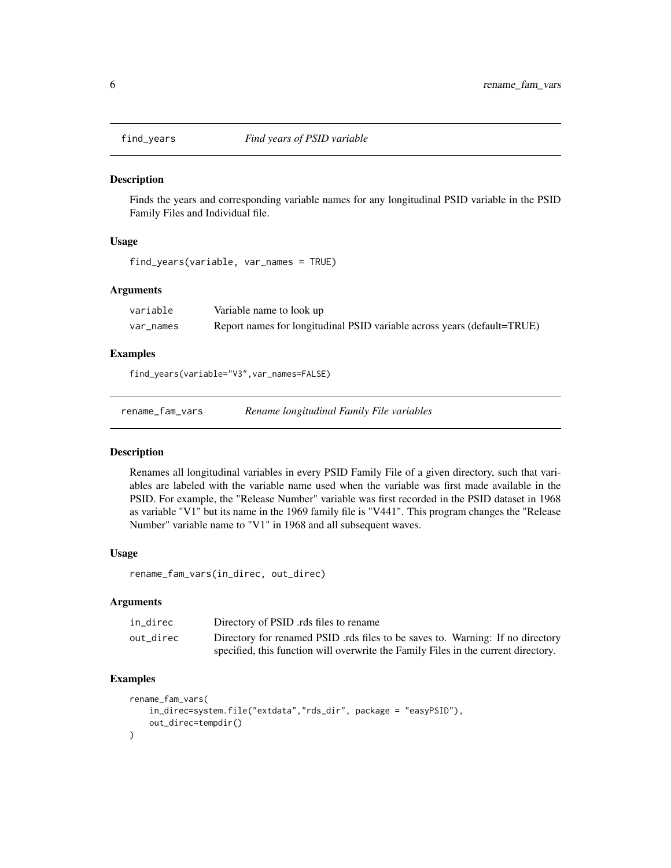<span id="page-5-0"></span>

#### Description

Finds the years and corresponding variable names for any longitudinal PSID variable in the PSID Family Files and Individual file.

#### Usage

find\_years(variable, var\_names = TRUE)

#### Arguments

| variable  | Variable name to look up                                                |
|-----------|-------------------------------------------------------------------------|
| var names | Report names for longitudinal PSID variable across years (default=TRUE) |

#### Examples

find\_years(variable="V3",var\_names=FALSE)

rename\_fam\_vars *Rename longitudinal Family File variables*

#### Description

Renames all longitudinal variables in every PSID Family File of a given directory, such that variables are labeled with the variable name used when the variable was first made available in the PSID. For example, the "Release Number" variable was first recorded in the PSID dataset in 1968 as variable "V1" but its name in the 1969 family file is "V441". This program changes the "Release Number" variable name to "V1" in 1968 and all subsequent waves.

#### Usage

rename\_fam\_vars(in\_direc, out\_direc)

#### Arguments

| in direc  | Directory of PSID rds files to rename                                              |
|-----------|------------------------------------------------------------------------------------|
| out direc | Directory for renamed PSID .rds files to be saves to. Warning: If no directory     |
|           | specified, this function will overwrite the Family Files in the current directory. |

#### Examples

```
rename_fam_vars(
    in_direc=system.file("extdata","rds_dir", package = "easyPSID"),
    out_direc=tempdir()
\mathcal{L}
```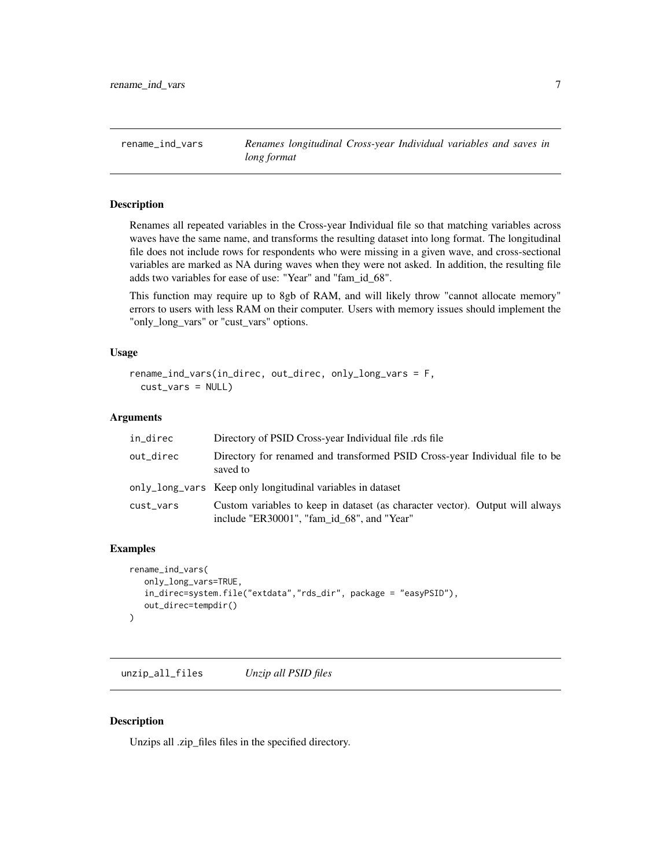<span id="page-6-0"></span>rename\_ind\_vars *Renames longitudinal Cross-year Individual variables and saves in long format*

#### Description

Renames all repeated variables in the Cross-year Individual file so that matching variables across waves have the same name, and transforms the resulting dataset into long format. The longitudinal file does not include rows for respondents who were missing in a given wave, and cross-sectional variables are marked as NA during waves when they were not asked. In addition, the resulting file adds two variables for ease of use: "Year" and "fam\_id\_68".

This function may require up to 8gb of RAM, and will likely throw "cannot allocate memory" errors to users with less RAM on their computer. Users with memory issues should implement the "only\_long\_vars" or "cust\_vars" options.

#### Usage

```
rename_ind_vars(in_direc, out_direc, only_long_vars = F,
  cust_vars = NULL)
```
#### Arguments

| in_direc  | Directory of PSID Cross-year Individual file .rds file                                                                      |
|-----------|-----------------------------------------------------------------------------------------------------------------------------|
| out_direc | Directory for renamed and transformed PSID Cross-year Individual file to be<br>saved to                                     |
|           | only_long_vars Keep only longitudinal variables in dataset                                                                  |
| cust_vars | Custom variables to keep in dataset (as character vector). Output will always<br>include "ER30001", "fam id 68", and "Year" |

#### Examples

```
rename_ind_vars(
   only_long_vars=TRUE,
   in_direc=system.file("extdata","rds_dir", package = "easyPSID"),
   out_direc=tempdir()
\mathcal{L}
```
unzip\_all\_files *Unzip all PSID files*

#### Description

Unzips all .zip\_files files in the specified directory.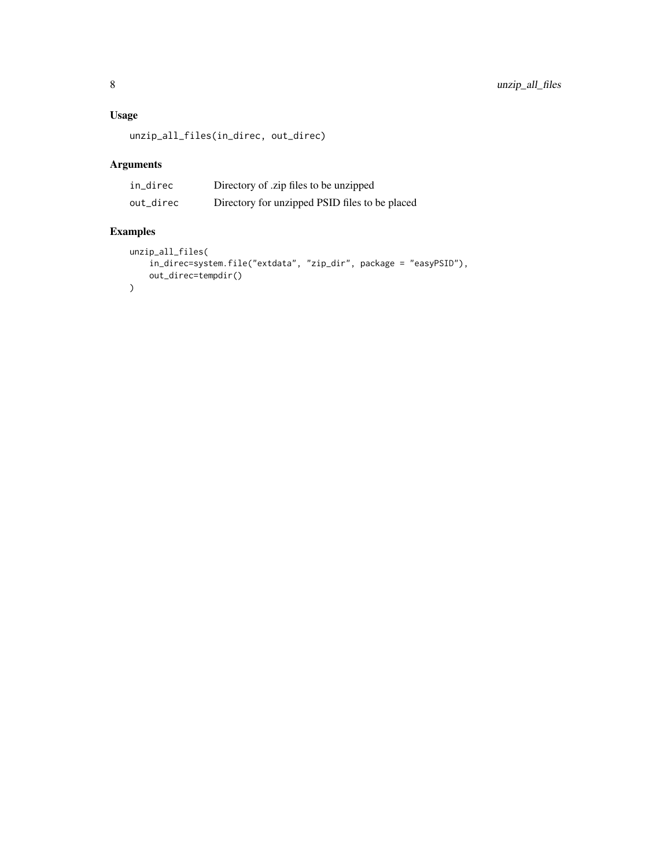#### Usage

```
unzip_all_files(in_direc, out_direc)
```
#### Arguments

| in_direc  | Directory of .zip files to be unzipped         |
|-----------|------------------------------------------------|
| out_direc | Directory for unzipped PSID files to be placed |

#### Examples

```
unzip_all_files(
    in_direc=system.file("extdata", "zip_dir", package = "easyPSID"),
    out_direc=tempdir()
\mathcal{L}
```